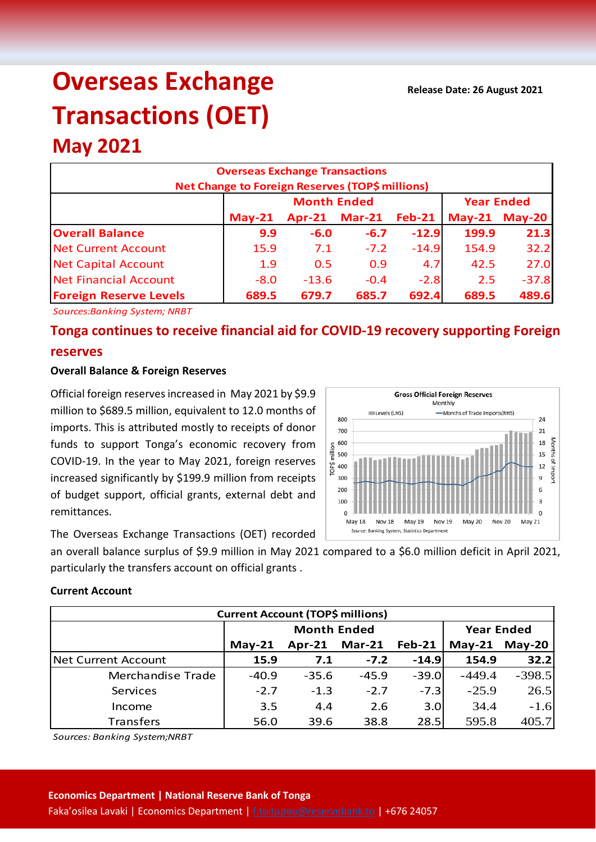# **Overseas Exchange Transactions (OET)**

## **May 2021**

| <b>Overseas Exchange Transactions</b><br>Net Change to Foreign Reserves (TOP\$ millions) |          |                    |                   |               |       |                      |  |  |  |
|------------------------------------------------------------------------------------------|----------|--------------------|-------------------|---------------|-------|----------------------|--|--|--|
|                                                                                          |          | <b>Month Ended</b> | <b>Year Ended</b> |               |       |                      |  |  |  |
|                                                                                          | $May-21$ | $Apr-21$           | <b>Mar-21</b>     | <b>Feb-21</b> |       | <b>May-21 May-20</b> |  |  |  |
| <b>Overall Balance</b>                                                                   | 9.9      | $-6.0$             | $-6.7$            | $-12.9$       | 199.9 | 21.3                 |  |  |  |
| <b>Net Current Account</b>                                                               | 15.9     | 7.1                | $-7.2$            | $-14.9$       | 154.9 | 32.2                 |  |  |  |
| <b>Net Capital Account</b>                                                               | 1.9      | 0.5                | 0.9               | 4.7           | 42.5  | 27.0                 |  |  |  |
| <b>Net Financial Account</b>                                                             | $-8.0$   | $-13.6$            | $-0.4$            | $-2.8$        | 2.5   | $-37.8$              |  |  |  |
| <b>Foreign Reserve Levels</b>                                                            | 689.5    | 679.7              | 685.7             | 692.4         | 689.5 | 489.6                |  |  |  |

*Sources:Banking System; NRBT*

### **Tonga continues to receive financial aid for COVID-19 recovery supporting Foreign reserves**

#### **Overall Balance & Foreign Reserves**

Official foreign reserves increased in May 2021 by \$9.9 million to \$689.5 million, equivalent to 12.0 months of imports. This is attributed mostly to receipts of donor funds to support Tonga's economic recovery from COVID-19. In the year to May 2021, foreign reserves increased significantly by \$199.9 million from receipts of budget support, official grants, external debt and remittances.



The Overseas Exchange Transactions (OET) recorded

an overall balance surplus of \$9.9 million in May 2021 compared to a \$6.0 million deficit in April 2021, particularly the transfers account on official grants .

#### **Current Account**

| <b>Current Account (TOP\$ millions)</b> |          |                    |                   |         |               |          |  |  |  |
|-----------------------------------------|----------|--------------------|-------------------|---------|---------------|----------|--|--|--|
|                                         |          | <b>Month Ended</b> | <b>Year Ended</b> |         |               |          |  |  |  |
|                                         | $May-21$ | $Apr-21$           | <b>Mar-21</b>     | Feb-21  | May-21 May-20 |          |  |  |  |
| <b>Net Current Account</b>              | 15.9     | 7.1                | $-7.2$            | $-14.9$ | 154.9         | 32.2     |  |  |  |
| Merchandise Trade                       | $-40.9$  | $-35.6$            | $-45.9$           | $-39.0$ | $-449.4$      | $-398.5$ |  |  |  |
| Services                                | $-2.7$   | $-1.3$             | $-2.7$            | $-7.3$  | $-25.9$       | 26.5     |  |  |  |
| Income                                  | 3.5      | 4.4                | 2.6               | 3.0     | 34.4          | $-1.6$   |  |  |  |
| Transfers                               | 56.0     | 39.6               | 38.8              | 28.5    | 595.8         | 405.7    |  |  |  |

*Sources: Banking System;NRBT*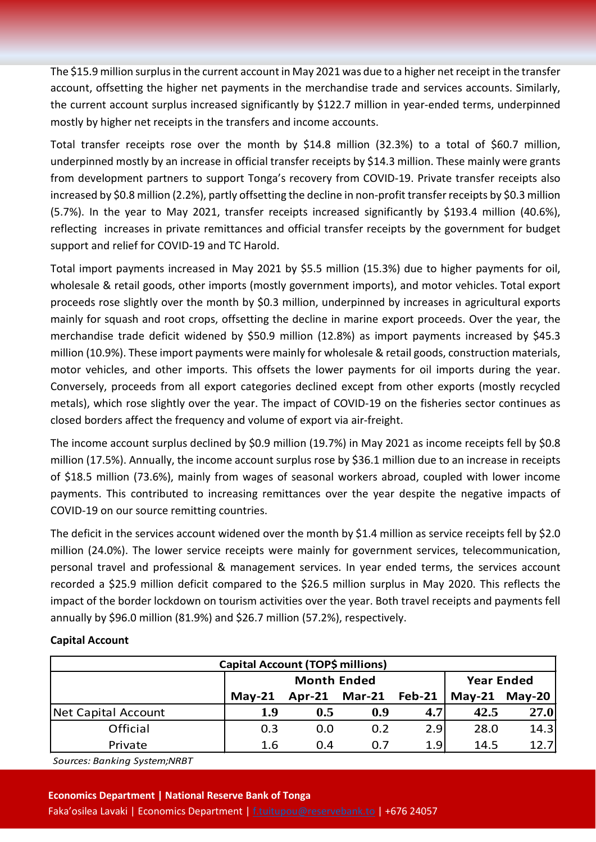The \$15.9 million surplus in the current account in May 2021 was due to a higher net receipt in the transfer account, offsetting the higher net payments in the merchandise trade and services accounts. Similarly, the current account surplus increased significantly by \$122.7 million in year-ended terms, underpinned mostly by higher net receipts in the transfers and income accounts.

Total transfer receipts rose over the month by \$14.8 million (32.3%) to a total of \$60.7 million, underpinned mostly by an increase in official transfer receipts by \$14.3 million. These mainly were grants from development partners to support Tonga's recovery from COVID-19. Private transfer receipts also increased by \$0.8 million (2.2%), partly offsetting the decline in non-profit transfer receipts by \$0.3 million (5.7%). In the year to May 2021, transfer receipts increased significantly by \$193.4 million (40.6%), reflecting increases in private remittances and official transfer receipts by the government for budget support and relief for COVID-19 and TC Harold.

Total import payments increased in May 2021 by \$5.5 million (15.3%) due to higher payments for oil, wholesale & retail goods, other imports (mostly government imports), and motor vehicles. Total export proceeds rose slightly over the month by \$0.3 million, underpinned by increases in agricultural exports mainly for squash and root crops, offsetting the decline in marine export proceeds. Over the year, the merchandise trade deficit widened by \$50.9 million (12.8%) as import payments increased by \$45.3 million (10.9%). These import payments were mainly for wholesale & retail goods, construction materials, motor vehicles, and other imports. This offsets the lower payments for oil imports during the year. Conversely, proceeds from all export categories declined except from other exports (mostly recycled metals), which rose slightly over the year. The impact of COVID-19 on the fisheries sector continues as closed borders affect the frequency and volume of export via air-freight.

The income account surplus declined by \$0.9 million (19.7%) in May 2021 as income receipts fell by \$0.8 million (17.5%). Annually, the income account surplus rose by \$36.1 million due to an increase in receipts of \$18.5 million (73.6%), mainly from wages of seasonal workers abroad, coupled with lower income payments. This contributed to increasing remittances over the year despite the negative impacts of COVID-19 on our source remitting countries.

The deficit in the services account widened over the month by \$1.4 million as service receipts fell by \$2.0 million (24.0%). The lower service receipts were mainly for government services, telecommunication, personal travel and professional & management services. In year ended terms, the services account recorded a \$25.9 million deficit compared to the \$26.5 million surplus in May 2020. This reflects the impact of the border lockdown on tourism activities over the year. Both travel receipts and payments fell annually by \$96.0 million (81.9%) and \$26.7 million (57.2%), respectively.

| Capital Account (TOP\$ millions) |          |                    |                   |        |               |      |  |  |
|----------------------------------|----------|--------------------|-------------------|--------|---------------|------|--|--|
|                                  |          | <b>Month Ended</b> | <b>Year Ended</b> |        |               |      |  |  |
|                                  | $May-21$ | $Apr-21$           | <b>Mar-21</b>     | Feb-21 | May-21 May-20 |      |  |  |
| Net Capital Account              | 1.9      | 0.5                | 0.9               | 4.7    | 42.5          | 27.0 |  |  |
| Official                         | 0.3      | 0.0                | 0.2               | 2.9    | 28.0          | 14.3 |  |  |
| Private                          | 1.6      | 0.4                | 0.7               | 1.9    | 14.5          | 12.7 |  |  |

#### **Capital Account**

*Sources: Banking System;NRBT*

#### **Economics Department | National Reserve Bank of Tonga**

Faka'osilea Lavaki | Economics Department [| f.tuitupou@reservebank.to](mailto:f.tuitupou@reservebank.to) | +676 24057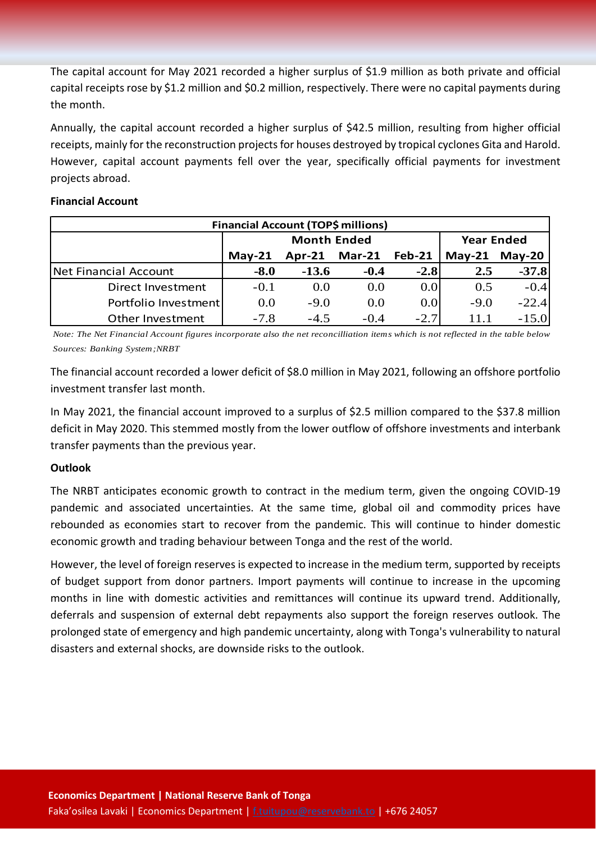The capital account for May 2021 recorded a higher surplus of \$1.9 million as both private and official capital receipts rose by \$1.2 million and \$0.2 million, respectively. There were no capital payments during the month.

Annually, the capital account recorded a higher surplus of \$42.5 million, resulting from higher official receipts, mainly for the reconstruction projects for houses destroyed by tropical cyclones Gita and Harold. However, capital account payments fell over the year, specifically official payments for investment projects abroad.

#### **Financial Account**

| <b>Financial Account (TOP\$ millions)</b> |          |                    |                   |        |               |         |  |  |  |
|-------------------------------------------|----------|--------------------|-------------------|--------|---------------|---------|--|--|--|
|                                           |          | <b>Month Ended</b> | <b>Year Ended</b> |        |               |         |  |  |  |
|                                           | $Mav-21$ | $Apr-21$           | $Mar-21$          | Feb-21 | May-21 May-20 |         |  |  |  |
| Net Financial Account                     | $-8.0$   | $-13.6$            | $-0.4$            | $-2.8$ | 2.5           | $-37.8$ |  |  |  |
| Direct Investment                         | $-0.1$   | 0.0                | 0.0               | 0.0    | 0.5           | $-0.4$  |  |  |  |
| Portfolio Investment                      | 0.0      | $-9.0$             | 0.0               | 0.0    | $-9.0$        | $-22.4$ |  |  |  |
| Other Investment                          | $-7.8$   | $-4.5$             | $-0.4$            | $-2.7$ | 11.1          | $-15.0$ |  |  |  |

*Note: The Net Financial Account figures incorporate also the net reconcilliation items which is not reflected in the table below Sources: Banking System;NRBT*

The financial account recorded a lower deficit of \$8.0 million in May 2021, following an offshore portfolio investment transfer last month.

In May 2021, the financial account improved to a surplus of \$2.5 million compared to the \$37.8 million deficit in May 2020. This stemmed mostly from the lower outflow of offshore investments and interbank transfer payments than the previous year.

#### **Outlook**

The NRBT anticipates economic growth to contract in the medium term, given the ongoing COVID-19 pandemic and associated uncertainties. At the same time, global oil and commodity prices have rebounded as economies start to recover from the pandemic. This will continue to hinder domestic economic growth and trading behaviour between Tonga and the rest of the world.

However, the level of foreign reserves is expected to increase in the medium term, supported by receipts of budget support from donor partners. Import payments will continue to increase in the upcoming months in line with domestic activities and remittances will continue its upward trend. Additionally, deferrals and suspension of external debt repayments also support the foreign reserves outlook. The prolonged state of emergency and high pandemic uncertainty, along with Tonga's vulnerability to natural disasters and external shocks, are downside risks to the outlook.